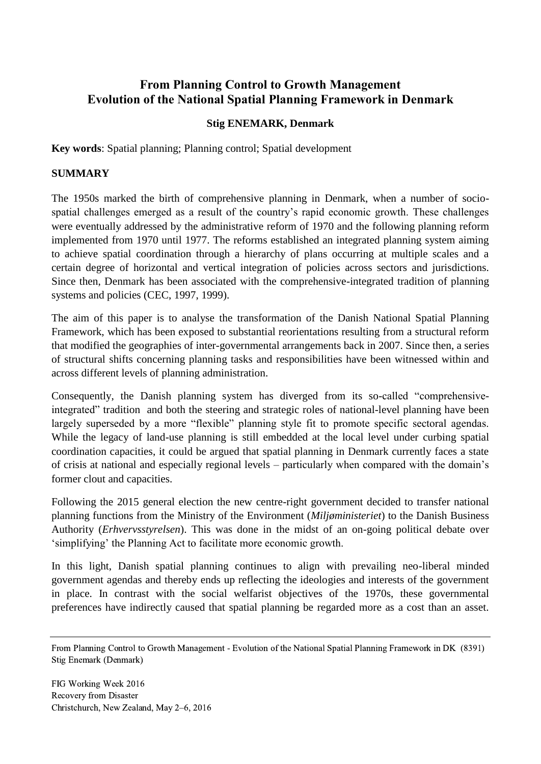# **From Planning Control to Growth Management Evolution of the National Spatial Planning Framework in Denmark**

# **Stig ENEMARK, Denmark**

**Key words**: Spatial planning; Planning control; Spatial development

## **SUMMARY**

The 1950s marked the birth of comprehensive planning in Denmark, when a number of sociospatial challenges emerged as a result of the country's rapid economic growth. These challenges were eventually addressed by the administrative reform of 1970 and the following planning reform implemented from 1970 until 1977. The reforms established an integrated planning system aiming to achieve spatial coordination through a hierarchy of plans occurring at multiple scales and a certain degree of horizontal and vertical integration of policies across sectors and jurisdictions. Since then, Denmark has been associated with the comprehensive-integrated tradition of planning systems and policies (CEC, 1997, 1999).

The aim of this paper is to analyse the transformation of the Danish National Spatial Planning Framework, which has been exposed to substantial reorientations resulting from a structural reform that modified the geographies of inter-governmental arrangements back in 2007. Since then, a series of structural shifts concerning planning tasks and responsibilities have been witnessed within and across different levels of planning administration.

Consequently, the Danish planning system has diverged from its so-called "comprehensiveintegrated" tradition and both the steering and strategic roles of national-level planning have been largely superseded by a more "flexible" planning style fit to promote specific sectoral agendas. While the legacy of land-use planning is still embedded at the local level under curbing spatial coordination capacities, it could be argued that spatial planning in Denmark currently faces a state of crisis at national and especially regional levels – particularly when compared with the domain's former clout and capacities.

Following the 2015 general election the new centre-right government decided to transfer national planning functions from the Ministry of the Environment (*Miljøministeriet*) to the Danish Business Authority (*Erhvervsstyrelsen*). This was done in the midst of an on-going political debate over 'simplifying' the Planning Act to facilitate more economic growth.

In this light, Danish spatial planning continues to align with prevailing neo-liberal minded government agendas and thereby ends up reflecting the ideologies and interests of the government in place. In contrast with the social welfarist objectives of the 1970s, these governmental preferences have indirectly caused that spatial planning be regarded more as a cost than an asset.

From Planning Control to Growth Management - Evolution of the National Spatial Planning Framework in DK (8391) Stig Enemark (Denmark)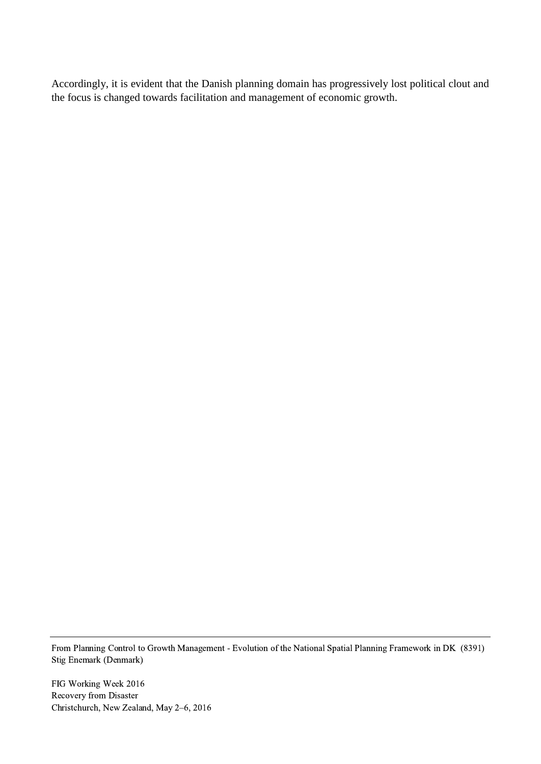Accordingly, it is evident that the Danish planning domain has progressively lost political clout and the focus is changed towards facilitation and management of economic growth.

From Planning Control to Growth Management - Evolution of the National Spatial Planning Framework in DK (8391) Stig Enemark (Denmark)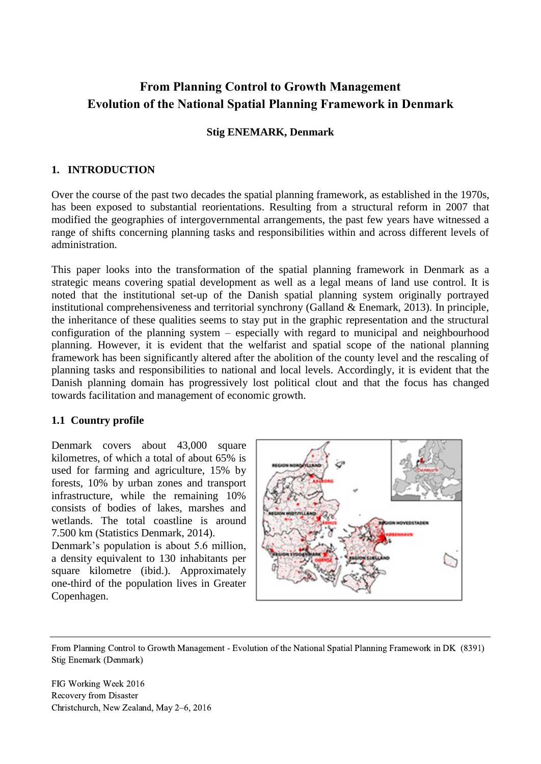# **From Planning Control to Growth Management Evolution of the National Spatial Planning Framework in Denmark**

## **Stig ENEMARK, Denmark**

# **1. INTRODUCTION**

Over the course of the past two decades the spatial planning framework, as established in the 1970s, has been exposed to substantial reorientations. Resulting from a structural reform in 2007 that modified the geographies of intergovernmental arrangements, the past few years have witnessed a range of shifts concerning planning tasks and responsibilities within and across different levels of administration.

This paper looks into the transformation of the spatial planning framework in Denmark as a strategic means covering spatial development as well as a legal means of land use control. It is noted that the institutional set-up of the Danish spatial planning system originally portrayed institutional comprehensiveness and territorial synchrony (Galland & Enemark, 2013). In principle, the inheritance of these qualities seems to stay put in the graphic representation and the structural configuration of the planning system – especially with regard to municipal and neighbourhood planning. However, it is evident that the welfarist and spatial scope of the national planning framework has been significantly altered after the abolition of the county level and the rescaling of planning tasks and responsibilities to national and local levels. Accordingly, it is evident that the Danish planning domain has progressively lost political clout and that the focus has changed towards facilitation and management of economic growth.

# **1.1 Country profile**

Denmark covers about 43,000 square kilometres, of which a total of about 65% is used for farming and agriculture, 15% by forests, 10% by urban zones and transport infrastructure, while the remaining 10% consists of bodies of lakes, marshes and wetlands. The total coastline is around 7.500 km (Statistics Denmark, 2014).

Denmark's population is about 5.6 million, a density equivalent to 130 inhabitants per square kilometre (ibid.). Approximately one-third of the population lives in Greater Copenhagen.



From Planning Control to Growth Management - Evolution of the National Spatial Planning Framework in DK (8391) Stig Enemark (Denmark)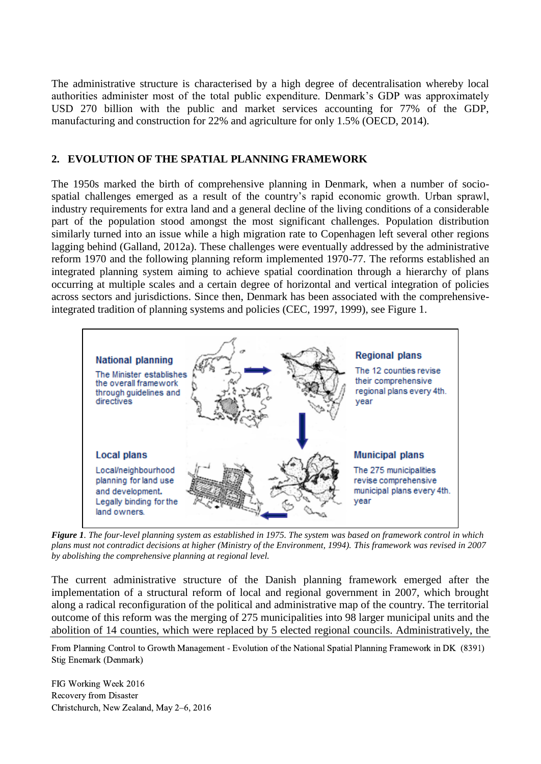The administrative structure is characterised by a high degree of decentralisation whereby local authorities administer most of the total public expenditure. Denmark's GDP was approximately USD 270 billion with the public and market services accounting for 77% of the GDP, manufacturing and construction for 22% and agriculture for only 1.5% (OECD, 2014).

## **2. EVOLUTION OF THE SPATIAL PLANNING FRAMEWORK**

The 1950s marked the birth of comprehensive planning in Denmark, when a number of sociospatial challenges emerged as a result of the country's rapid economic growth. Urban sprawl, industry requirements for extra land and a general decline of the living conditions of a considerable part of the population stood amongst the most significant challenges. Population distribution similarly turned into an issue while a high migration rate to Copenhagen left several other regions lagging behind (Galland, 2012a). These challenges were eventually addressed by the administrative reform 1970 and the following planning reform implemented 1970-77. The reforms established an integrated planning system aiming to achieve spatial coordination through a hierarchy of plans occurring at multiple scales and a certain degree of horizontal and vertical integration of policies across sectors and jurisdictions. Since then, Denmark has been associated with the comprehensiveintegrated tradition of planning systems and policies (CEC, 1997, 1999), see Figure 1.



*Figure 1. The four-level planning system as established in 1975. The system was based on framework control in which plans must not contradict decisions at higher (Ministry of the Environment, 1994). This framework was revised in 2007 by abolishing the comprehensive planning at regional level.* 

The current administrative structure of the Danish planning framework emerged after the implementation of a structural reform of local and regional government in 2007, which brought along a radical reconfiguration of the political and administrative map of the country. The territorial outcome of this reform was the merging of 275 municipalities into 98 larger municipal units and the abolition of 14 counties, which were replaced by 5 elected regional councils. Administratively, the

From Planning Control to Growth Management - Evolution of the National Spatial Planning Framework in DK (8391) Stig Enemark (Denmark)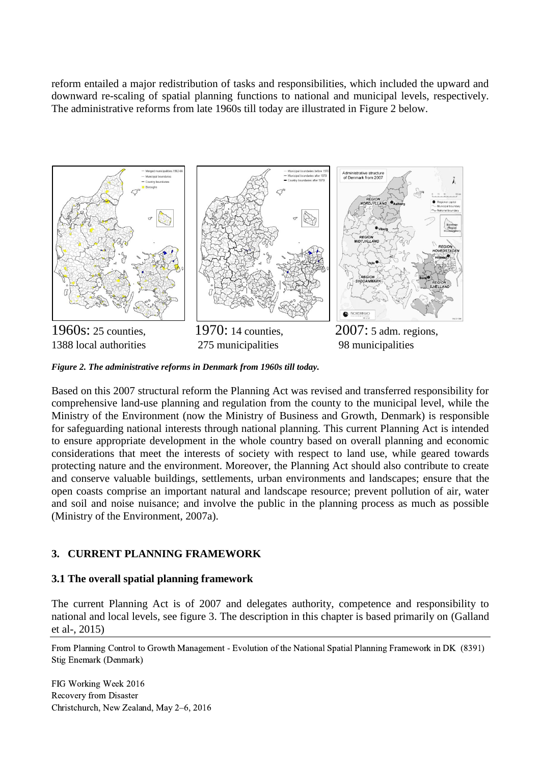reform entailed a major redistribution of tasks and responsibilities, which included the upward and downward re-scaling of spatial planning functions to national and municipal levels, respectively. The administrative reforms from late 1960s till today are illustrated in Figure 2 below.



*Figure 2. The administrative reforms in Denmark from 1960s till today.* 

Based on this 2007 structural reform the Planning Act was revised and transferred responsibility for comprehensive land-use planning and regulation from the county to the municipal level, while the Ministry of the Environment (now the Ministry of Business and Growth, Denmark) is responsible for safeguarding national interests through national planning. This current Planning Act is intended to ensure appropriate development in the whole country based on overall planning and economic considerations that meet the interests of society with respect to land use, while geared towards protecting nature and the environment. Moreover, the Planning Act should also contribute to create and conserve valuable buildings, settlements, urban environments and landscapes; ensure that the open coasts comprise an important natural and landscape resource; prevent pollution of air, water and soil and noise nuisance; and involve the public in the planning process as much as possible (Ministry of the Environment, 2007a).

# **3. CURRENT PLANNING FRAMEWORK**

# **3.1 The overall spatial planning framework**

The current Planning Act is of 2007 and delegates authority, competence and responsibility to national and local levels, see figure 3. The description in this chapter is based primarily on (Galland et al-, 2015)

From Planning Control to Growth Management - Evolution of the National Spatial Planning Framework in DK (8391) Stig Enemark (Denmark)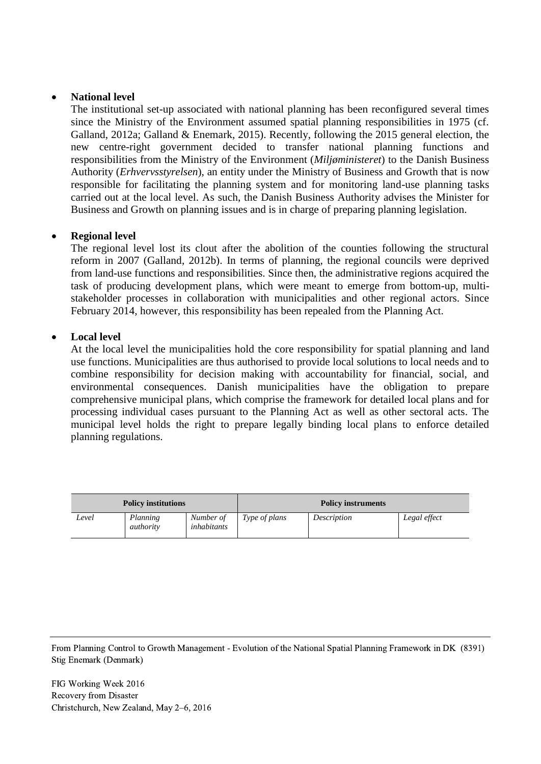## **National level**

The institutional set-up associated with national planning has been reconfigured several times since the Ministry of the Environment assumed spatial planning responsibilities in 1975 (cf. Galland, 2012a; Galland & Enemark, 2015). Recently, following the 2015 general election, the new centre-right government decided to transfer national planning functions and responsibilities from the Ministry of the Environment (*Miljøministeret*) to the Danish Business Authority (*Erhvervsstyrelsen*), an entity under the Ministry of Business and Growth that is now responsible for facilitating the planning system and for monitoring land-use planning tasks carried out at the local level. As such, the Danish Business Authority advises the Minister for Business and Growth on planning issues and is in charge of preparing planning legislation.

# **Regional level**

The regional level lost its clout after the abolition of the counties following the structural reform in 2007 (Galland, 2012b). In terms of planning, the regional councils were deprived from land-use functions and responsibilities. Since then, the administrative regions acquired the task of producing development plans, which were meant to emerge from bottom-up, multistakeholder processes in collaboration with municipalities and other regional actors. Since February 2014, however, this responsibility has been repealed from the Planning Act.

#### **Local level**

At the local level the municipalities hold the core responsibility for spatial planning and land use functions. Municipalities are thus authorised to provide local solutions to local needs and to combine responsibility for decision making with accountability for financial, social, and environmental consequences. Danish municipalities have the obligation to prepare comprehensive municipal plans, which comprise the framework for detailed local plans and for processing individual cases pursuant to the Planning Act as well as other sectoral acts. The municipal level holds the right to prepare legally binding local plans to enforce detailed planning regulations.

| <b>Policy institutions</b> |                       |                          | <b>Policy instruments</b> |             |              |  |
|----------------------------|-----------------------|--------------------------|---------------------------|-------------|--------------|--|
| Level                      | Planning<br>authority | Number of<br>inhabitants | Type of plans             | Description | Legal effect |  |

From Planning Control to Growth Management - Evolution of the National Spatial Planning Framework in DK (8391) Stig Enemark (Denmark)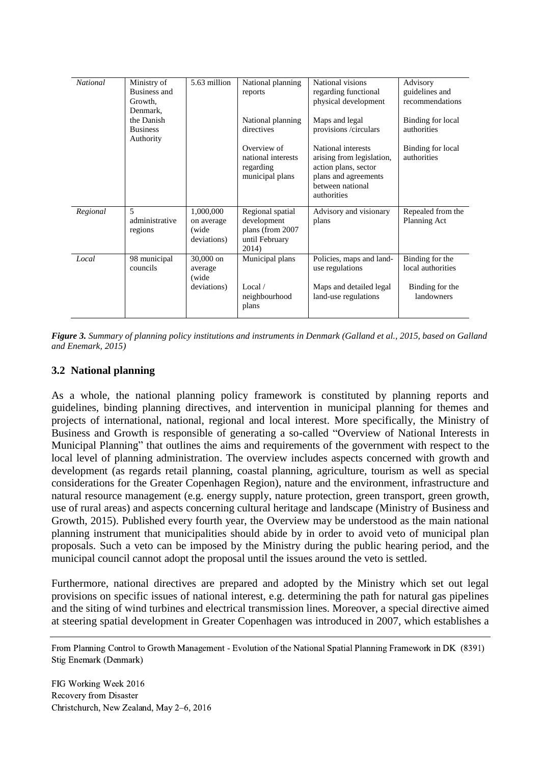| <b>National</b> | Ministry of<br>Business and<br>Growth,<br>Denmark.    | 5.63 million                                     | National planning<br>reports                                                   | National visions<br>regarding functional<br>physical development                                                                   | Advisory<br>guidelines and<br>recommendations |
|-----------------|-------------------------------------------------------|--------------------------------------------------|--------------------------------------------------------------------------------|------------------------------------------------------------------------------------------------------------------------------------|-----------------------------------------------|
|                 | the Danish<br><b>Business</b><br>Authority            |                                                  | National planning<br>directives                                                | Maps and legal<br>provisions /circulars                                                                                            | Binding for local<br>authorities              |
|                 |                                                       |                                                  | Overview of<br>national interests<br>regarding<br>municipal plans              | National interests<br>arising from legislation,<br>action plans, sector<br>plans and agreements<br>between national<br>authorities | Binding for local<br>authorities              |
| Regional        | $\overline{\phantom{0}}$<br>administrative<br>regions | 1,000,000<br>on average<br>(wide)<br>deviations) | Regional spatial<br>development<br>plans (from 2007<br>until February<br>2014) | Advisory and visionary<br>plans                                                                                                    | Repealed from the<br>Planning Act             |
| Local           | 98 municipal<br>councils                              | $30,000$ on<br>average<br>(wide)                 | Municipal plans                                                                | Policies, maps and land-<br>use regulations                                                                                        | Binding for the<br>local authorities          |
|                 |                                                       | deviations)                                      | Local $\overline{\phantom{a}}$<br>neighbourhood<br>plans                       | Maps and detailed legal<br>land-use regulations                                                                                    | Binding for the<br>landowners                 |

*Figure 3. Summary of planning policy institutions and instruments in Denmark (Galland et al., 2015, based on Galland and Enemark, 2015)* 

#### **3.2 National planning**

As a whole, the national planning policy framework is constituted by planning reports and guidelines, binding planning directives, and intervention in municipal planning for themes and projects of international, national, regional and local interest. More specifically, the Ministry of Business and Growth is responsible of generating a so-called "Overview of National Interests in Municipal Planning" that outlines the aims and requirements of the government with respect to the local level of planning administration. The overview includes aspects concerned with growth and development (as regards retail planning, coastal planning, agriculture, tourism as well as special considerations for the Greater Copenhagen Region), nature and the environment, infrastructure and natural resource management (e.g. energy supply, nature protection, green transport, green growth, use of rural areas) and aspects concerning cultural heritage and landscape (Ministry of Business and Growth, 2015). Published every fourth year, the Overview may be understood as the main national planning instrument that municipalities should abide by in order to avoid veto of municipal plan proposals. Such a veto can be imposed by the Ministry during the public hearing period, and the municipal council cannot adopt the proposal until the issues around the veto is settled.

Furthermore, national directives are prepared and adopted by the Ministry which set out legal provisions on specific issues of national interest, e.g. determining the path for natural gas pipelines and the siting of wind turbines and electrical transmission lines. Moreover, a special directive aimed at steering spatial development in Greater Copenhagen was introduced in 2007, which establishes a

From Planning Control to Growth Management - Evolution of the National Spatial Planning Framework in DK (8391) Stig Enemark (Denmark)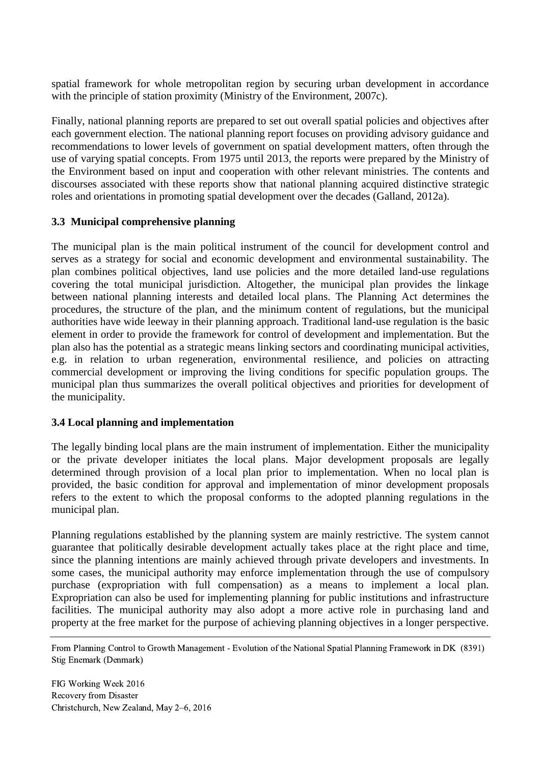spatial framework for whole metropolitan region by securing urban development in accordance with the principle of station proximity (Ministry of the Environment, 2007c).

Finally, national planning reports are prepared to set out overall spatial policies and objectives after each government election. The national planning report focuses on providing advisory guidance and recommendations to lower levels of government on spatial development matters, often through the use of varying spatial concepts. From 1975 until 2013, the reports were prepared by the Ministry of the Environment based on input and cooperation with other relevant ministries. The contents and discourses associated with these reports show that national planning acquired distinctive strategic roles and orientations in promoting spatial development over the decades (Galland, 2012a).

# **3.3 Municipal comprehensive planning**

The municipal plan is the main political instrument of the council for development control and serves as a strategy for social and economic development and environmental sustainability. The plan combines political objectives, land use policies and the more detailed land-use regulations covering the total municipal jurisdiction. Altogether, the municipal plan provides the linkage between national planning interests and detailed local plans. The Planning Act determines the procedures, the structure of the plan, and the minimum content of regulations, but the municipal authorities have wide leeway in their planning approach. Traditional land-use regulation is the basic element in order to provide the framework for control of development and implementation. But the plan also has the potential as a strategic means linking sectors and coordinating municipal activities, e.g. in relation to urban regeneration, environmental resilience, and policies on attracting commercial development or improving the living conditions for specific population groups. The municipal plan thus summarizes the overall political objectives and priorities for development of the municipality.

# **3.4 Local planning and implementation**

The legally binding local plans are the main instrument of implementation. Either the municipality or the private developer initiates the local plans. Major development proposals are legally determined through provision of a local plan prior to implementation. When no local plan is provided, the basic condition for approval and implementation of minor development proposals refers to the extent to which the proposal conforms to the adopted planning regulations in the municipal plan.

Planning regulations established by the planning system are mainly restrictive. The system cannot guarantee that politically desirable development actually takes place at the right place and time, since the planning intentions are mainly achieved through private developers and investments. In some cases, the municipal authority may enforce implementation through the use of compulsory purchase (expropriation with full compensation) as a means to implement a local plan. Expropriation can also be used for implementing planning for public institutions and infrastructure facilities. The municipal authority may also adopt a more active role in purchasing land and property at the free market for the purpose of achieving planning objectives in a longer perspective.

From Planning Control to Growth Management - Evolution of the National Spatial Planning Framework in DK (8391) Stig Enemark (Denmark)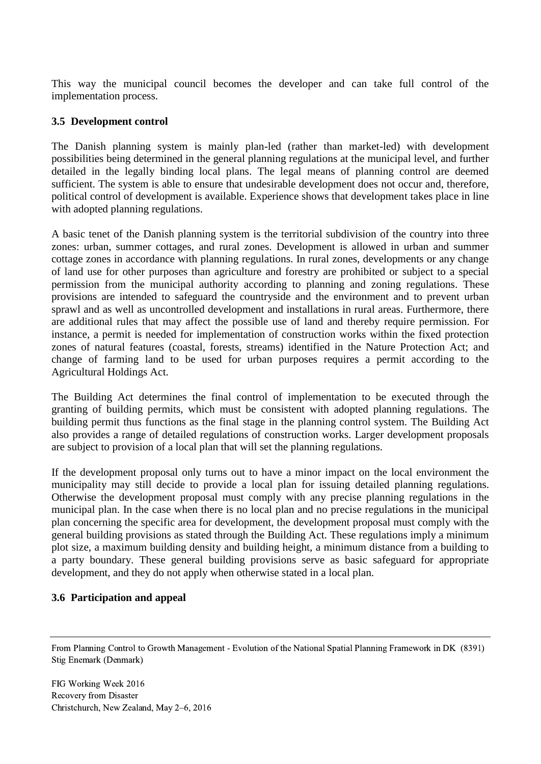This way the municipal council becomes the developer and can take full control of the implementation process.

## **3.5 Development control**

The Danish planning system is mainly plan-led (rather than market-led) with development possibilities being determined in the general planning regulations at the municipal level, and further detailed in the legally binding local plans. The legal means of planning control are deemed sufficient. The system is able to ensure that undesirable development does not occur and, therefore, political control of development is available. Experience shows that development takes place in line with adopted planning regulations.

A basic tenet of the Danish planning system is the territorial subdivision of the country into three zones: urban, summer cottages, and rural zones. Development is allowed in urban and summer cottage zones in accordance with planning regulations. In rural zones, developments or any change of land use for other purposes than agriculture and forestry are prohibited or subject to a special permission from the municipal authority according to planning and zoning regulations. These provisions are intended to safeguard the countryside and the environment and to prevent urban sprawl and as well as uncontrolled development and installations in rural areas. Furthermore, there are additional rules that may affect the possible use of land and thereby require permission. For instance, a permit is needed for implementation of construction works within the fixed protection zones of natural features (coastal, forests, streams) identified in the Nature Protection Act; and change of farming land to be used for urban purposes requires a permit according to the Agricultural Holdings Act.

The Building Act determines the final control of implementation to be executed through the granting of building permits, which must be consistent with adopted planning regulations. The building permit thus functions as the final stage in the planning control system. The Building Act also provides a range of detailed regulations of construction works. Larger development proposals are subject to provision of a local plan that will set the planning regulations.

If the development proposal only turns out to have a minor impact on the local environment the municipality may still decide to provide a local plan for issuing detailed planning regulations. Otherwise the development proposal must comply with any precise planning regulations in the municipal plan. In the case when there is no local plan and no precise regulations in the municipal plan concerning the specific area for development, the development proposal must comply with the general building provisions as stated through the Building Act. These regulations imply a minimum plot size, a maximum building density and building height, a minimum distance from a building to a party boundary. These general building provisions serve as basic safeguard for appropriate development, and they do not apply when otherwise stated in a local plan.

#### **3.6 Participation and appeal**

From Planning Control to Growth Management - Evolution of the National Spatial Planning Framework in DK (8391) Stig Enemark (Denmark)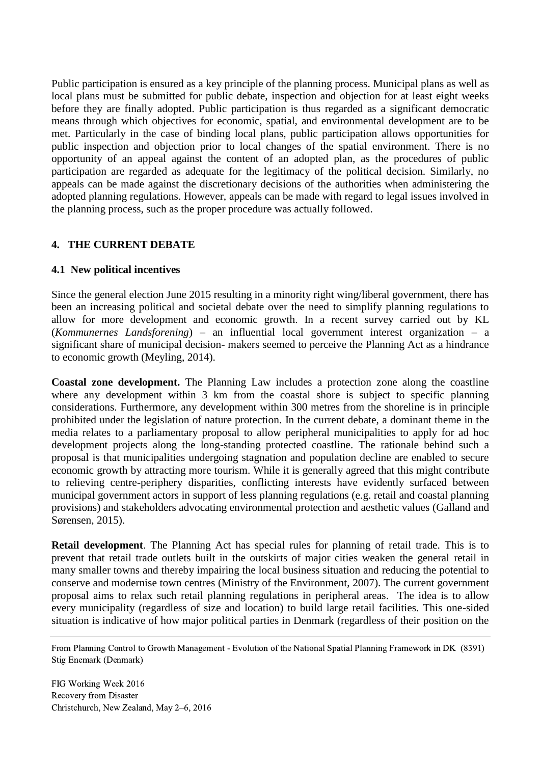Public participation is ensured as a key principle of the planning process. Municipal plans as well as local plans must be submitted for public debate, inspection and objection for at least eight weeks before they are finally adopted. Public participation is thus regarded as a significant democratic means through which objectives for economic, spatial, and environmental development are to be met. Particularly in the case of binding local plans, public participation allows opportunities for public inspection and objection prior to local changes of the spatial environment. There is no opportunity of an appeal against the content of an adopted plan, as the procedures of public participation are regarded as adequate for the legitimacy of the political decision. Similarly, no appeals can be made against the discretionary decisions of the authorities when administering the adopted planning regulations. However, appeals can be made with regard to legal issues involved in the planning process, such as the proper procedure was actually followed.

#### **4. THE CURRENT DEBATE**

#### **4.1 New political incentives**

Since the general election June 2015 resulting in a minority right wing/liberal government, there has been an increasing political and societal debate over the need to simplify planning regulations to allow for more development and economic growth. In a recent survey carried out by KL (*Kommunernes Landsforening*) – an influential local government interest organization – a significant share of municipal decision- makers seemed to perceive the Planning Act as a hindrance to economic growth (Meyling, 2014).

**Coastal zone development.** The Planning Law includes a protection zone along the coastline where any development within 3 km from the coastal shore is subject to specific planning considerations. Furthermore, any development within 300 metres from the shoreline is in principle prohibited under the legislation of nature protection. In the current debate, a dominant theme in the media relates to a parliamentary proposal to allow peripheral municipalities to apply for ad hoc development projects along the long-standing protected coastline. The rationale behind such a proposal is that municipalities undergoing stagnation and population decline are enabled to secure economic growth by attracting more tourism. While it is generally agreed that this might contribute to relieving centre-periphery disparities, conflicting interests have evidently surfaced between municipal government actors in support of less planning regulations (e.g. retail and coastal planning provisions) and stakeholders advocating environmental protection and aesthetic values (Galland and Sørensen, 2015).

**Retail development**. The Planning Act has special rules for planning of retail trade. This is to prevent that retail trade outlets built in the outskirts of major cities weaken the general retail in many smaller towns and thereby impairing the local business situation and reducing the potential to conserve and modernise town centres (Ministry of the Environment, 2007). The current government proposal aims to relax such retail planning regulations in peripheral areas. The idea is to allow every municipality (regardless of size and location) to build large retail facilities. This one-sided situation is indicative of how major political parties in Denmark (regardless of their position on the

From Planning Control to Growth Management - Evolution of the National Spatial Planning Framework in DK (8391) Stig Enemark (Denmark)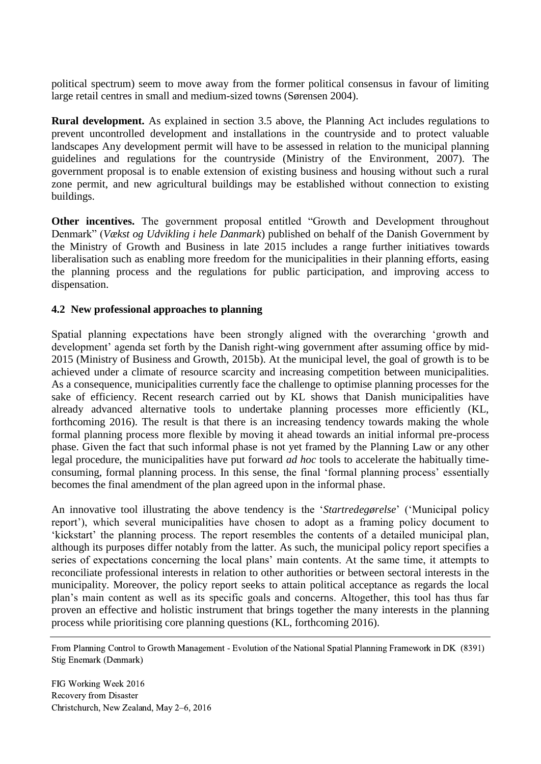political spectrum) seem to move away from the former political consensus in favour of limiting large retail centres in small and medium-sized towns (Sørensen 2004).

**Rural development.** As explained in section 3.5 above, the Planning Act includes regulations to prevent uncontrolled development and installations in the countryside and to protect valuable landscapes Any development permit will have to be assessed in relation to the municipal planning guidelines and regulations for the countryside (Ministry of the Environment, 2007). The government proposal is to enable extension of existing business and housing without such a rural zone permit, and new agricultural buildings may be established without connection to existing buildings.

**Other incentives.** The government proposal entitled "Growth and Development throughout Denmark" (*Vækst og Udvikling i hele Danmark*) published on behalf of the Danish Government by the Ministry of Growth and Business in late 2015 includes a range further initiatives towards liberalisation such as enabling more freedom for the municipalities in their planning efforts, easing the planning process and the regulations for public participation, and improving access to dispensation.

#### **4.2 New professional approaches to planning**

Spatial planning expectations have been strongly aligned with the overarching 'growth and development' agenda set forth by the Danish right-wing government after assuming office by mid-2015 (Ministry of Business and Growth, 2015b). At the municipal level, the goal of growth is to be achieved under a climate of resource scarcity and increasing competition between municipalities. As a consequence, municipalities currently face the challenge to optimise planning processes for the sake of efficiency. Recent research carried out by KL shows that Danish municipalities have already advanced alternative tools to undertake planning processes more efficiently (KL, forthcoming 2016). The result is that there is an increasing tendency towards making the whole formal planning process more flexible by moving it ahead towards an initial informal pre-process phase. Given the fact that such informal phase is not yet framed by the Planning Law or any other legal procedure, the municipalities have put forward *ad hoc* tools to accelerate the habitually timeconsuming, formal planning process. In this sense, the final 'formal planning process' essentially becomes the final amendment of the plan agreed upon in the informal phase.

An innovative tool illustrating the above tendency is the '*Startredegørelse*' ('Municipal policy report'), which several municipalities have chosen to adopt as a framing policy document to 'kickstart' the planning process. The report resembles the contents of a detailed municipal plan, although its purposes differ notably from the latter. As such, the municipal policy report specifies a series of expectations concerning the local plans' main contents. At the same time, it attempts to reconciliate professional interests in relation to other authorities or between sectoral interests in the municipality. Moreover, the policy report seeks to attain political acceptance as regards the local plan's main content as well as its specific goals and concerns. Altogether, this tool has thus far proven an effective and holistic instrument that brings together the many interests in the planning process while prioritising core planning questions (KL, forthcoming 2016).

From Planning Control to Growth Management - Evolution of the National Spatial Planning Framework in DK (8391) Stig Enemark (Denmark)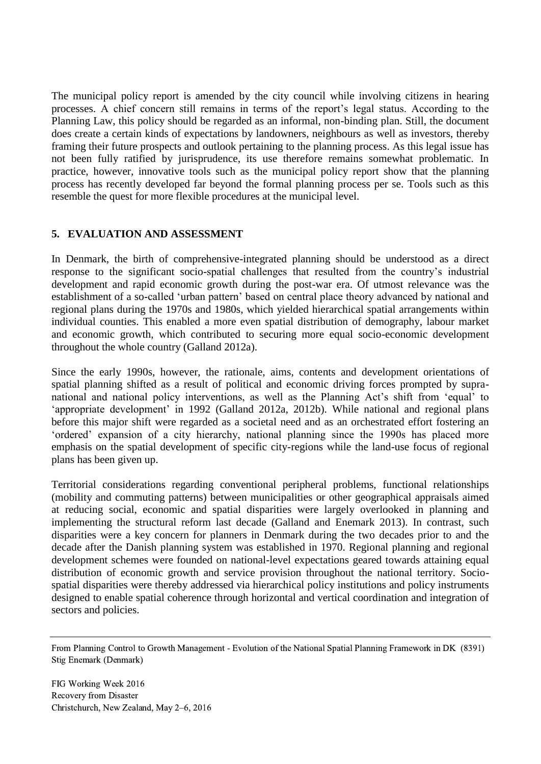The municipal policy report is amended by the city council while involving citizens in hearing processes. A chief concern still remains in terms of the report's legal status. According to the Planning Law, this policy should be regarded as an informal, non-binding plan. Still, the document does create a certain kinds of expectations by landowners, neighbours as well as investors, thereby framing their future prospects and outlook pertaining to the planning process. As this legal issue has not been fully ratified by jurisprudence, its use therefore remains somewhat problematic. In practice, however, innovative tools such as the municipal policy report show that the planning process has recently developed far beyond the formal planning process per se. Tools such as this resemble the quest for more flexible procedures at the municipal level.

# **5. EVALUATION AND ASSESSMENT**

In Denmark, the birth of comprehensive-integrated planning should be understood as a direct response to the significant socio-spatial challenges that resulted from the country's industrial development and rapid economic growth during the post-war era. Of utmost relevance was the establishment of a so-called 'urban pattern' based on central place theory advanced by national and regional plans during the 1970s and 1980s, which yielded hierarchical spatial arrangements within individual counties. This enabled a more even spatial distribution of demography, labour market and economic growth, which contributed to securing more equal socio-economic development throughout the whole country (Galland 2012a).

Since the early 1990s, however, the rationale, aims, contents and development orientations of spatial planning shifted as a result of political and economic driving forces prompted by supranational and national policy interventions, as well as the Planning Act's shift from 'equal' to 'appropriate development' in 1992 (Galland 2012a, 2012b). While national and regional plans before this major shift were regarded as a societal need and as an orchestrated effort fostering an 'ordered' expansion of a city hierarchy, national planning since the 1990s has placed more emphasis on the spatial development of specific city-regions while the land-use focus of regional plans has been given up.

Territorial considerations regarding conventional peripheral problems, functional relationships (mobility and commuting patterns) between municipalities or other geographical appraisals aimed at reducing social, economic and spatial disparities were largely overlooked in planning and implementing the structural reform last decade (Galland and Enemark 2013). In contrast, such disparities were a key concern for planners in Denmark during the two decades prior to and the decade after the Danish planning system was established in 1970. Regional planning and regional development schemes were founded on national-level expectations geared towards attaining equal distribution of economic growth and service provision throughout the national territory. Sociospatial disparities were thereby addressed via hierarchical policy institutions and policy instruments designed to enable spatial coherence through horizontal and vertical coordination and integration of sectors and policies.

From Planning Control to Growth Management - Evolution of the National Spatial Planning Framework in DK (8391) Stig Enemark (Denmark)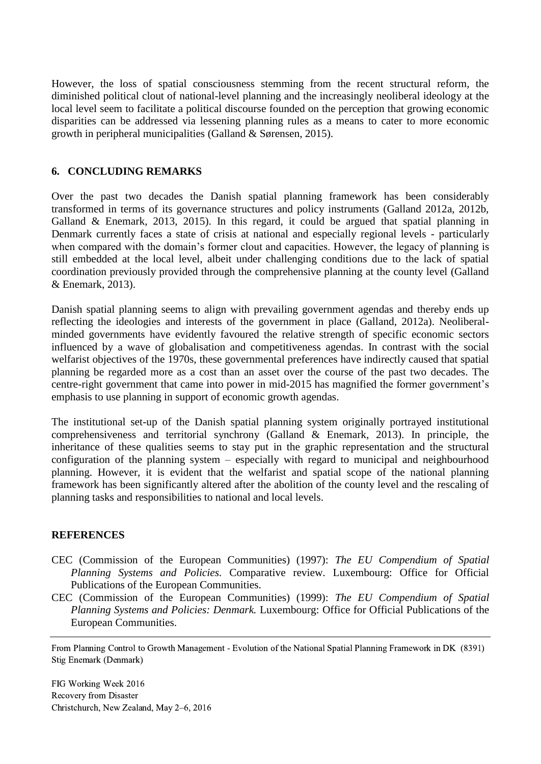However, the loss of spatial consciousness stemming from the recent structural reform, the diminished political clout of national-level planning and the increasingly neoliberal ideology at the local level seem to facilitate a political discourse founded on the perception that growing economic disparities can be addressed via lessening planning rules as a means to cater to more economic growth in peripheral municipalities (Galland & Sørensen, 2015).

## **6. CONCLUDING REMARKS**

Over the past two decades the Danish spatial planning framework has been considerably transformed in terms of its governance structures and policy instruments (Galland 2012a, 2012b, Galland & Enemark, 2013, 2015). In this regard, it could be argued that spatial planning in Denmark currently faces a state of crisis at national and especially regional levels - particularly when compared with the domain's former clout and capacities. However, the legacy of planning is still embedded at the local level, albeit under challenging conditions due to the lack of spatial coordination previously provided through the comprehensive planning at the county level (Galland & Enemark, 2013).

Danish spatial planning seems to align with prevailing government agendas and thereby ends up reflecting the ideologies and interests of the government in place (Galland, 2012a). Neoliberalminded governments have evidently favoured the relative strength of specific economic sectors influenced by a wave of globalisation and competitiveness agendas. In contrast with the social welfarist objectives of the 1970s, these governmental preferences have indirectly caused that spatial planning be regarded more as a cost than an asset over the course of the past two decades. The centre-right government that came into power in mid-2015 has magnified the former government's emphasis to use planning in support of economic growth agendas.

The institutional set-up of the Danish spatial planning system originally portrayed institutional comprehensiveness and territorial synchrony (Galland & Enemark, 2013). In principle, the inheritance of these qualities seems to stay put in the graphic representation and the structural configuration of the planning system – especially with regard to municipal and neighbourhood planning. However, it is evident that the welfarist and spatial scope of the national planning framework has been significantly altered after the abolition of the county level and the rescaling of planning tasks and responsibilities to national and local levels.

#### **REFERENCES**

- CEC (Commission of the European Communities) (1997): *The EU Compendium of Spatial Planning Systems and Policies.* Comparative review. Luxembourg: Office for Official Publications of the European Communities.
- CEC (Commission of the European Communities) (1999): *The EU Compendium of Spatial Planning Systems and Policies: Denmark.* Luxembourg: Office for Official Publications of the European Communities.

From Planning Control to Growth Management - Evolution of the National Spatial Planning Framework in DK (8391) Stig Enemark (Denmark)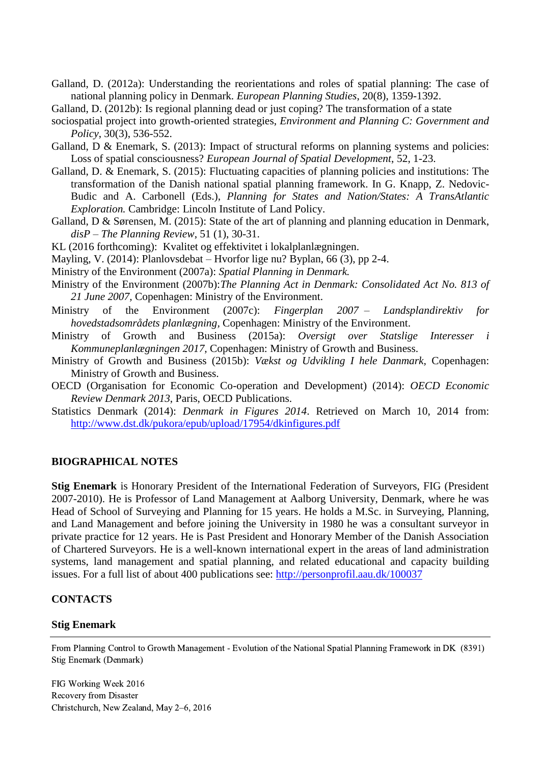- Galland, D. (2012a): Understanding the reorientations and roles of spatial planning: The case of national planning policy in Denmark. *European Planning Studies*, 20(8), 1359-1392.
- Galland, D. (2012b): Is regional planning dead or just coping? The transformation of a state
- sociospatial project into growth-oriented strategies, *Environment and Planning C: Government and Policy*, 30(3), 536-552.
- Galland, D & Enemark, S. (2013): Impact of structural reforms on planning systems and policies: Loss of spatial consciousness? *European Journal of Spatial Development*, 52, 1-23.
- Galland, D. & Enemark, S. (2015): Fluctuating capacities of planning policies and institutions: The transformation of the Danish national spatial planning framework. In G. Knapp, Z. Nedovic-Budic and A. Carbonell (Eds.), *Planning for States and Nation/States: A TransAtlantic Exploration.* Cambridge: Lincoln Institute of Land Policy.
- Galland, D & Sørensen, M. (2015): State of the art of planning and planning education in Denmark, *disP – The Planning Review*, 51 (1), 30-31.
- KL (2016 forthcoming): Kvalitet og effektivitet i lokalplanlægningen.
- Mayling, V. (2014): Planlovsdebat Hvorfor lige nu? Byplan, 66 (3), pp 2-4.
- Ministry of the Environment (2007a): *Spatial Planning in Denmark.*
- Ministry of the Environment (2007b):*The Planning Act in Denmark: Consolidated Act No. 813 of 21 June 2007,* Copenhagen: Ministry of the Environment.
- Ministry of the Environment (2007c): *Fingerplan 2007 – Landsplandirektiv for hovedstadsområdets planlægning,* Copenhagen: Ministry of the Environment.
- Ministry of Growth and Business (2015a): *Oversigt over Statslige Interesser i Kommuneplanlægningen 2017,* Copenhagen: Ministry of Growth and Business.
- Ministry of Growth and Business (2015b): *Vækst og Udvikling I hele Danmark,* Copenhagen: Ministry of Growth and Business.
- OECD (Organisation for Economic Co-operation and Development) (2014): *OECD Economic Review Denmark 2013*, Paris, OECD Publications.
- Statistics Denmark (2014): *Denmark in Figures 2014*. Retrieved on March 10, 2014 from: <http://www.dst.dk/pukora/epub/upload/17954/dkinfigures.pdf>

#### **BIOGRAPHICAL NOTES**

**Stig Enemark** is Honorary President of the International Federation of Surveyors, FIG (President 2007-2010). He is Professor of Land Management at Aalborg University, Denmark, where he was Head of School of Surveying and Planning for 15 years. He holds a M.Sc. in Surveying, Planning, and Land Management and before joining the University in 1980 he was a consultant surveyor in private practice for 12 years. He is Past President and Honorary Member of the Danish Association of Chartered Surveyors. He is a well-known international expert in the areas of land administration systems, land management and spatial planning, and related educational and capacity building issues. For a full list of about 400 publications see:<http://personprofil.aau.dk/100037>

#### **CONTACTS**

#### **Stig Enemark**

From Planning Control to Growth Management - Evolution of the National Spatial Planning Framework in DK (8391) Stig Enemark (Denmark)